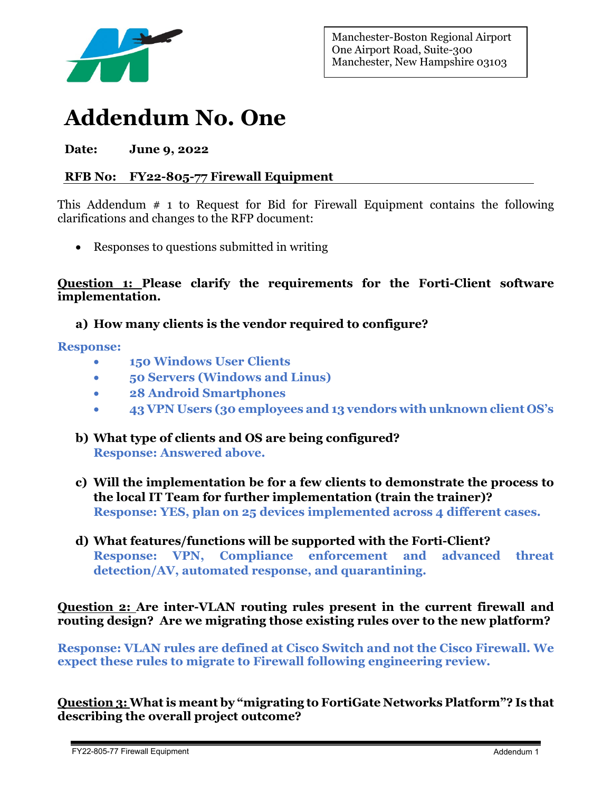

Manchester-Boston Regional Airport One Airport Road, Suite-300 Manchester, New Hampshire 03103

# **Addendum No. One**

**Date: June 9, 2022**

# **RFB No: FY22-805-77 Firewall Equipment**

This Addendum  $\#$  1 to Request for Bid for Firewall Equipment contains the following clarifications and changes to the RFP document:

• Responses to questions submitted in writing

**Question 1: Please clarify the requirements for the Forti-Client software implementation.**

## **a) How many clients is the vendor required to configure?**

#### **Response:**

- **150 Windows User Clients**
- **50 Servers (Windows and Linus)**
- **28 Android Smartphones**
- **43 VPN Users (30 employees and 13 vendors with unknown client OS's**
- **b) What type of clients and OS are being configured? Response: Answered above.**
- **c) Will the implementation be for a few clients to demonstrate the process to the local IT Team for further implementation (train the trainer)? Response: YES, plan on 25 devices implemented across 4 different cases.**
- **d) What features/functions will be supported with the Forti-Client? Response: VPN, Compliance enforcement and advanced threat detection/AV, automated response, and quarantining.**

**Question 2: Are inter-VLAN routing rules present in the current firewall and routing design? Are we migrating those existing rules over to the new platform?** 

**Response: VLAN rules are defined at Cisco Switch and not the Cisco Firewall. We expect these rules to migrate to Firewall following engineering review.** 

**Question 3: What is meant by "migrating to FortiGate Networks Platform"? Is that describing the overall project outcome?**